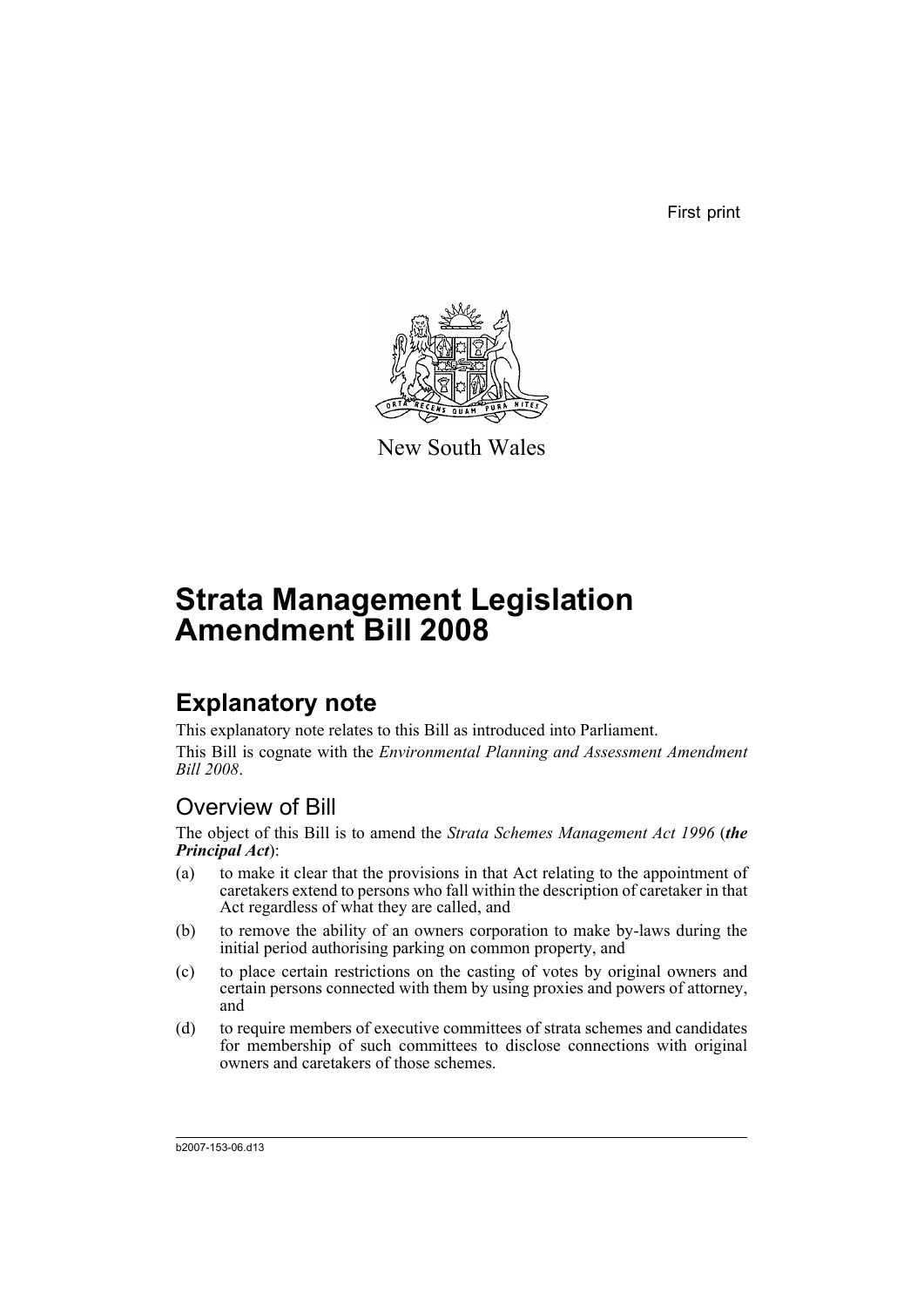First print



New South Wales

# **Strata Management Legislation Amendment Bill 2008**

## **Explanatory note**

This explanatory note relates to this Bill as introduced into Parliament. This Bill is cognate with the *Environmental Planning and Assessment Amendment Bill 2008*.

## Overview of Bill

The object of this Bill is to amend the *Strata Schemes Management Act 1996* (*the Principal Act*):

- (a) to make it clear that the provisions in that Act relating to the appointment of caretakers extend to persons who fall within the description of caretaker in that Act regardless of what they are called, and
- (b) to remove the ability of an owners corporation to make by-laws during the initial period authorising parking on common property, and
- (c) to place certain restrictions on the casting of votes by original owners and certain persons connected with them by using proxies and powers of attorney, and
- (d) to require members of executive committees of strata schemes and candidates for membership of such committees to disclose connections with original owners and caretakers of those schemes.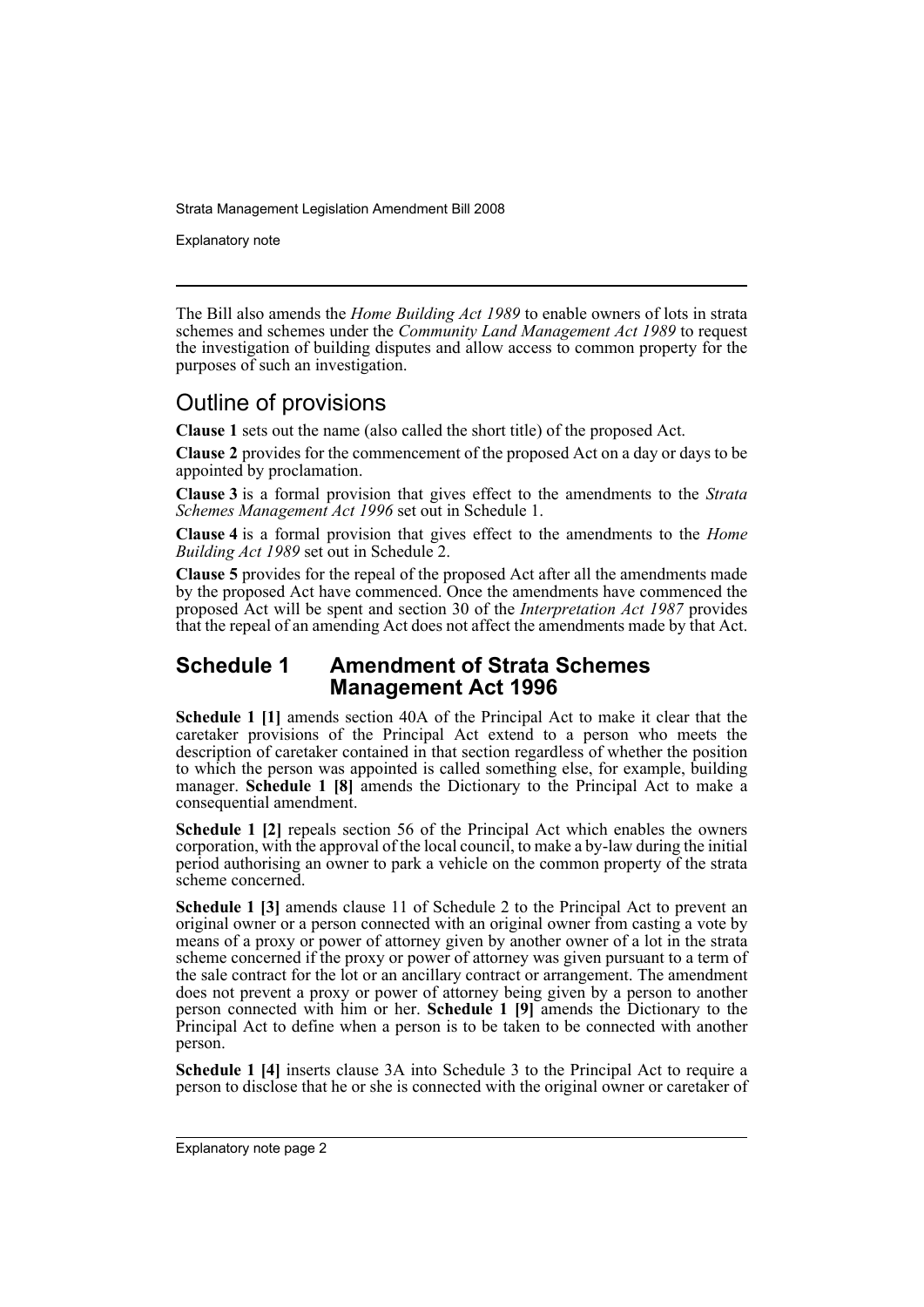Explanatory note

The Bill also amends the *Home Building Act 1989* to enable owners of lots in strata schemes and schemes under the *Community Land Management Act 1989* to request the investigation of building disputes and allow access to common property for the purposes of such an investigation.

### Outline of provisions

**Clause 1** sets out the name (also called the short title) of the proposed Act.

**Clause 2** provides for the commencement of the proposed Act on a day or days to be appointed by proclamation.

**Clause 3** is a formal provision that gives effect to the amendments to the *Strata Schemes Management Act 1996* set out in Schedule 1.

**Clause 4** is a formal provision that gives effect to the amendments to the *Home Building Act 1989* set out in Schedule 2.

**Clause 5** provides for the repeal of the proposed Act after all the amendments made by the proposed Act have commenced. Once the amendments have commenced the proposed Act will be spent and section 30 of the *Interpretation Act 1987* provides that the repeal of an amending Act does not affect the amendments made by that Act.

#### **Schedule 1 Amendment of Strata Schemes Management Act 1996**

**Schedule 1 [1]** amends section 40A of the Principal Act to make it clear that the caretaker provisions of the Principal Act extend to a person who meets the description of caretaker contained in that section regardless of whether the position to which the person was appointed is called something else, for example, building manager. **Schedule 1 [8]** amends the Dictionary to the Principal Act to make a consequential amendment.

**Schedule 1 [2]** repeals section 56 of the Principal Act which enables the owners corporation, with the approval of the local council, to make a by-law during the initial period authorising an owner to park a vehicle on the common property of the strata scheme concerned.

**Schedule 1 [3]** amends clause 11 of Schedule 2 to the Principal Act to prevent an original owner or a person connected with an original owner from casting a vote by means of a proxy or power of attorney given by another owner of a lot in the strata scheme concerned if the proxy or power of attorney was given pursuant to a term of the sale contract for the lot or an ancillary contract or arrangement. The amendment does not prevent a proxy or power of attorney being given by a person to another person connected with him or her. **Schedule 1 [9]** amends the Dictionary to the Principal Act to define when a person is to be taken to be connected with another person.

**Schedule 1 [4]** inserts clause 3A into Schedule 3 to the Principal Act to require a person to disclose that he or she is connected with the original owner or caretaker of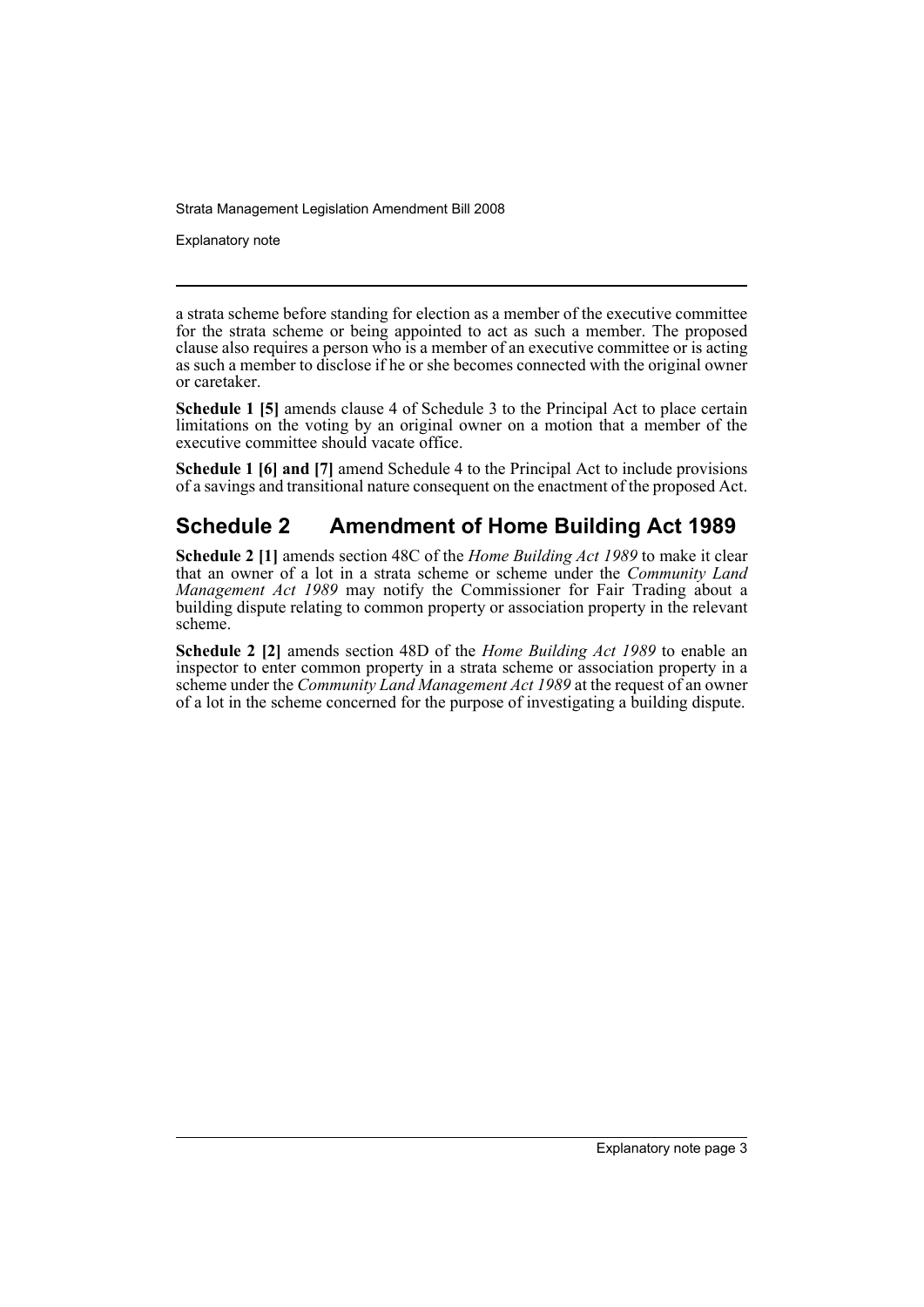Explanatory note

a strata scheme before standing for election as a member of the executive committee for the strata scheme or being appointed to act as such a member. The proposed clause also requires a person who is a member of an executive committee or is acting as such a member to disclose if he or she becomes connected with the original owner or caretaker.

**Schedule 1 [5]** amends clause 4 of Schedule 3 to the Principal Act to place certain limitations on the voting by an original owner on a motion that a member of the executive committee should vacate office.

**Schedule 1 [6] and [7]** amend Schedule 4 to the Principal Act to include provisions of a savings and transitional nature consequent on the enactment of the proposed Act.

## **Schedule 2 Amendment of Home Building Act 1989**

**Schedule 2 [1]** amends section 48C of the *Home Building Act 1989* to make it clear that an owner of a lot in a strata scheme or scheme under the *Community Land Management Act 1989* may notify the Commissioner for Fair Trading about a building dispute relating to common property or association property in the relevant scheme.

**Schedule 2 [2]** amends section 48D of the *Home Building Act 1989* to enable an inspector to enter common property in a strata scheme or association property in a scheme under the *Community Land Management Act 1989* at the request of an owner of a lot in the scheme concerned for the purpose of investigating a building dispute.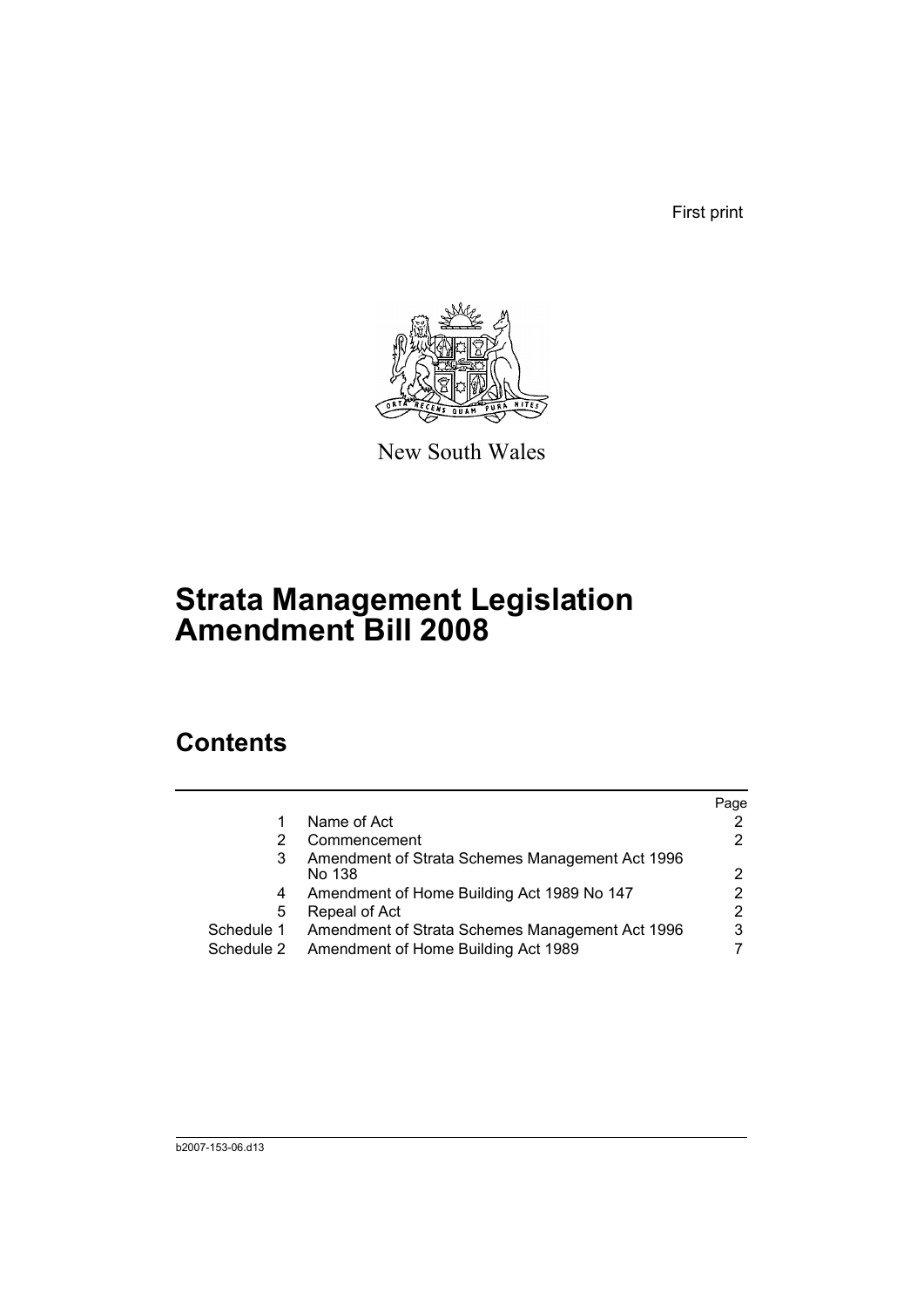First print



New South Wales

## **Strata Management Legislation Amendment Bill 2008**

## **Contents**

|            |                                                 | Page |
|------------|-------------------------------------------------|------|
|            | Name of Act                                     |      |
|            | Commencement                                    |      |
| 3          | Amendment of Strata Schemes Management Act 1996 |      |
|            | No 138                                          |      |
| 4          | Amendment of Home Building Act 1989 No 147      |      |
| 5          | Repeal of Act                                   | 2    |
| Schedule 1 | Amendment of Strata Schemes Management Act 1996 | 3    |
| Schedule 2 | Amendment of Home Building Act 1989             |      |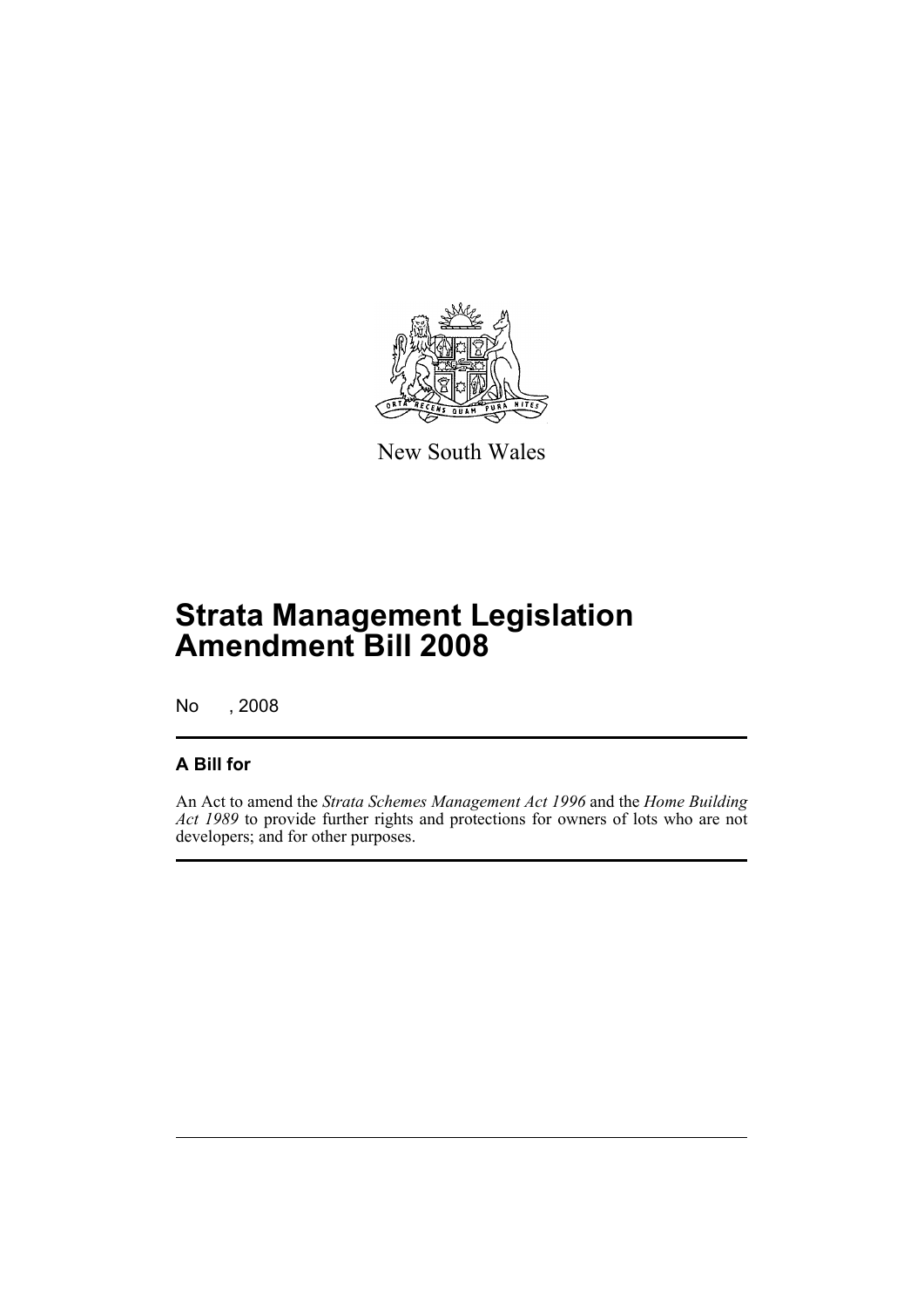

New South Wales

## **Strata Management Legislation Amendment Bill 2008**

No , 2008

#### **A Bill for**

An Act to amend the *Strata Schemes Management Act 1996* and the *Home Building Act 1989* to provide further rights and protections for owners of lots who are not developers; and for other purposes.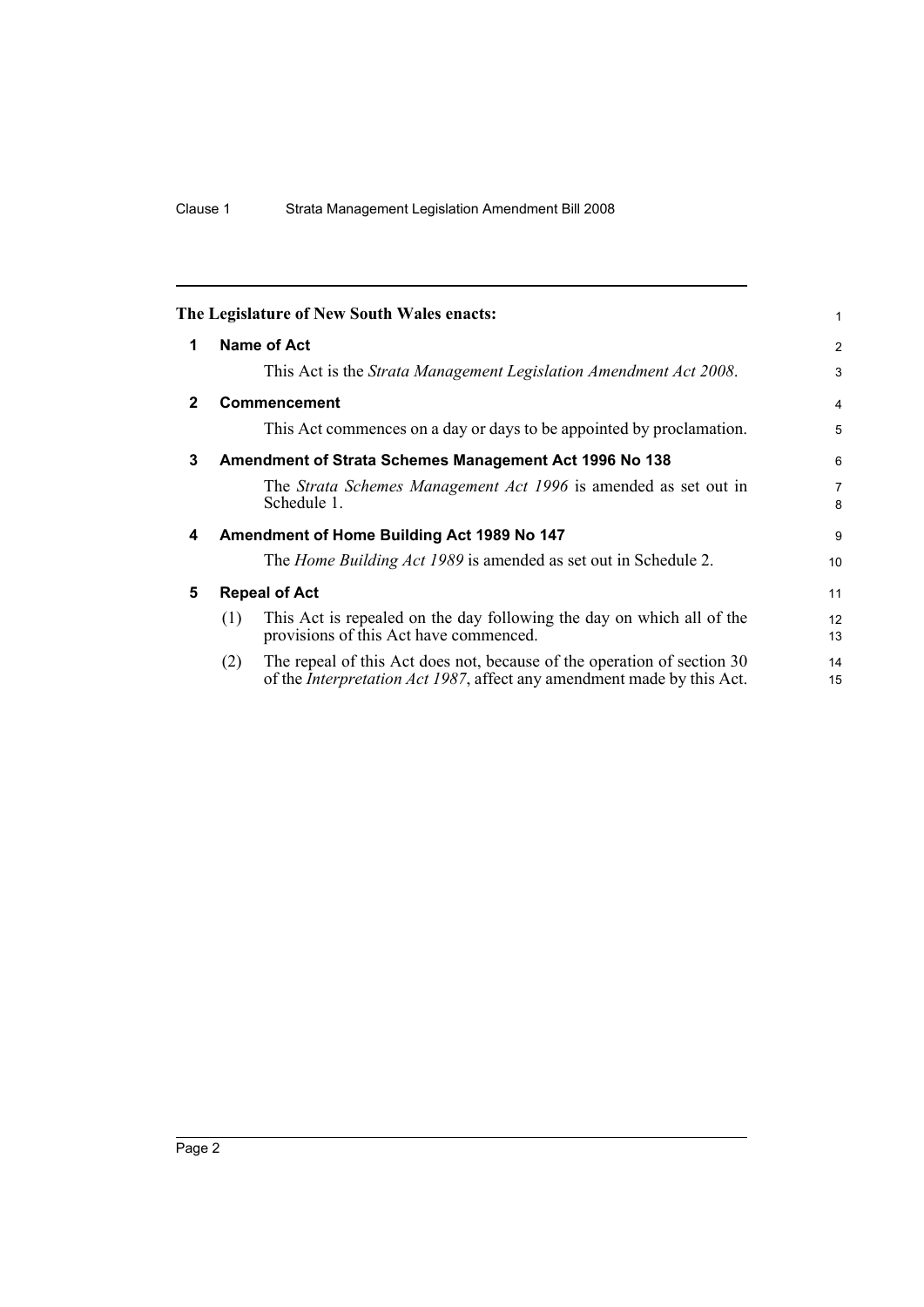<span id="page-7-4"></span><span id="page-7-3"></span><span id="page-7-2"></span><span id="page-7-1"></span><span id="page-7-0"></span>

|                                                             |                                                                                                                                                           | $\mathbf{1}$                                                                                                                     |  |  |
|-------------------------------------------------------------|-----------------------------------------------------------------------------------------------------------------------------------------------------------|----------------------------------------------------------------------------------------------------------------------------------|--|--|
| <b>Name of Act</b>                                          |                                                                                                                                                           |                                                                                                                                  |  |  |
|                                                             | This Act is the Strata Management Legislation Amendment Act 2008.                                                                                         | 3                                                                                                                                |  |  |
|                                                             |                                                                                                                                                           | $\overline{\mathbf{4}}$                                                                                                          |  |  |
|                                                             | This Act commences on a day or days to be appointed by proclamation.                                                                                      | 5                                                                                                                                |  |  |
| 3<br>Amendment of Strata Schemes Management Act 1996 No 138 |                                                                                                                                                           |                                                                                                                                  |  |  |
|                                                             | The Strata Schemes Management Act 1996 is amended as set out in<br>Schedule 1.                                                                            | $\overline{7}$<br>8                                                                                                              |  |  |
|                                                             |                                                                                                                                                           | 9                                                                                                                                |  |  |
|                                                             | The Home Building Act 1989 is amended as set out in Schedule 2.                                                                                           | 10                                                                                                                               |  |  |
|                                                             |                                                                                                                                                           | 11                                                                                                                               |  |  |
| (1)                                                         | This Act is repealed on the day following the day on which all of the<br>provisions of this Act have commenced.                                           | 12<br>13                                                                                                                         |  |  |
| (2)                                                         | The repeal of this Act does not, because of the operation of section 30<br>of the <i>Interpretation Act 1987</i> , affect any amendment made by this Act. | 14<br>15                                                                                                                         |  |  |
|                                                             |                                                                                                                                                           | The Legislature of New South Wales enacts:<br>Commencement<br>Amendment of Home Building Act 1989 No 147<br><b>Repeal of Act</b> |  |  |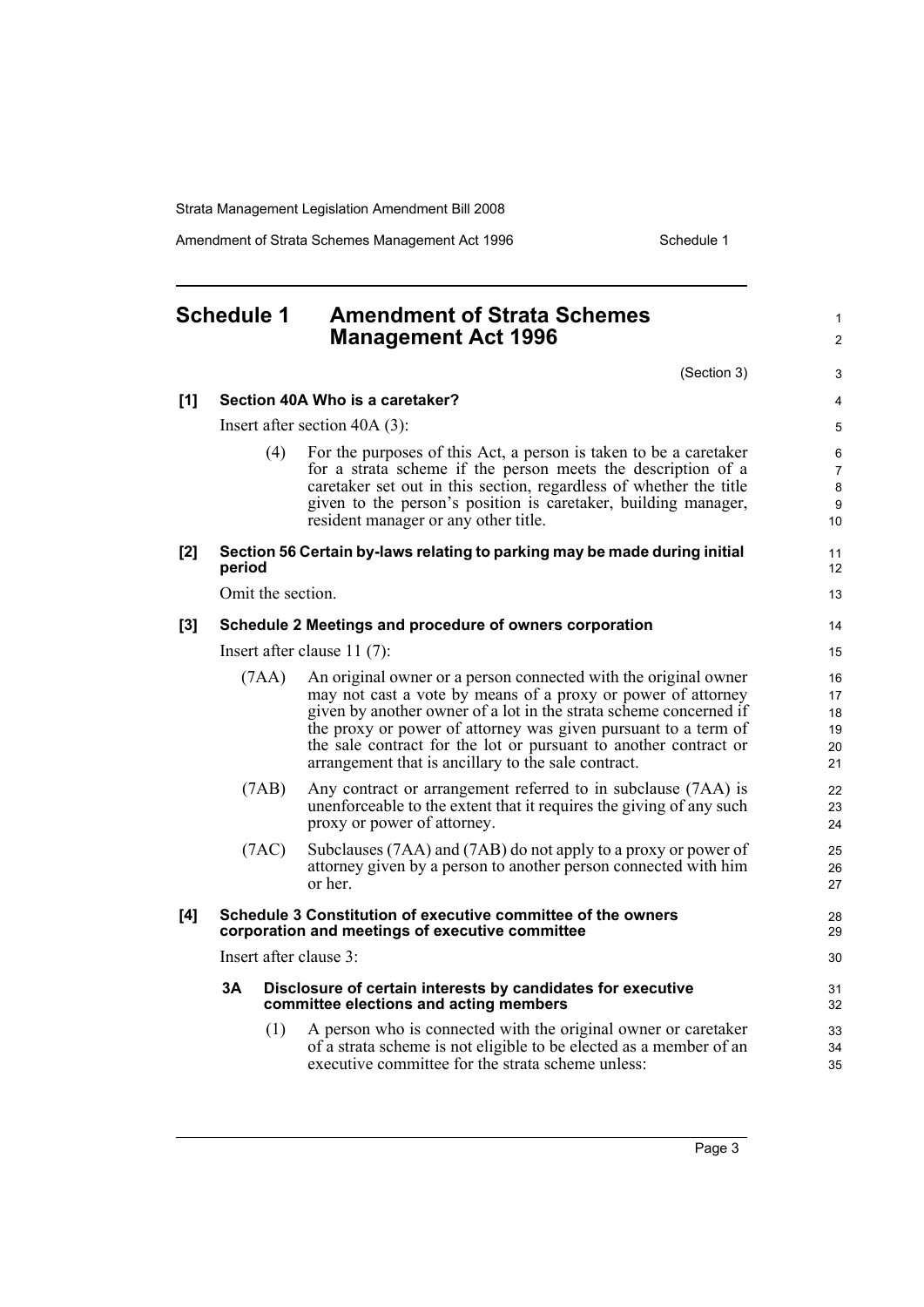Amendment of Strata Schemes Management Act 1996 Schedule 1

#### <span id="page-8-0"></span>**Schedule 1 Amendment of Strata Schemes Management Act 1996** (Section 3) **[1] Section 40A Who is a caretaker?** Insert after section 40A (3): (4) For the purposes of this Act, a person is taken to be a caretaker for a strata scheme if the person meets the description of a caretaker set out in this section, regardless of whether the title given to the person's position is caretaker, building manager, resident manager or any other title. **[2] Section 56 Certain by-laws relating to parking may be made during initial period** Omit the section. **[3] Schedule 2 Meetings and procedure of owners corporation**  Insert after clause 11 (7): (7AA) An original owner or a person connected with the original owner may not cast a vote by means of a proxy or power of attorney given by another owner of a lot in the strata scheme concerned if the proxy or power of attorney was given pursuant to a term of the sale contract for the lot or pursuant to another contract or arrangement that is ancillary to the sale contract. (7AB) Any contract or arrangement referred to in subclause (7AA) is unenforceable to the extent that it requires the giving of any such proxy or power of attorney. (7AC) Subclauses (7AA) and (7AB) do not apply to a proxy or power of attorney given by a person to another person connected with him or her. **[4] Schedule 3 Constitution of executive committee of the owners corporation and meetings of executive committee** Insert after clause 3: **3A Disclosure of certain interests by candidates for executive committee elections and acting members** (1) A person who is connected with the original owner or caretaker of a strata scheme is not eligible to be elected as a member of an executive committee for the strata scheme unless: 1  $\mathfrak{p}$ 3 4 5 6 7 8 9 10 11 12 13 14 15 16 17 18 19 20 21 22 23 24 25 26 27 28 29 30 31 32 33 34 35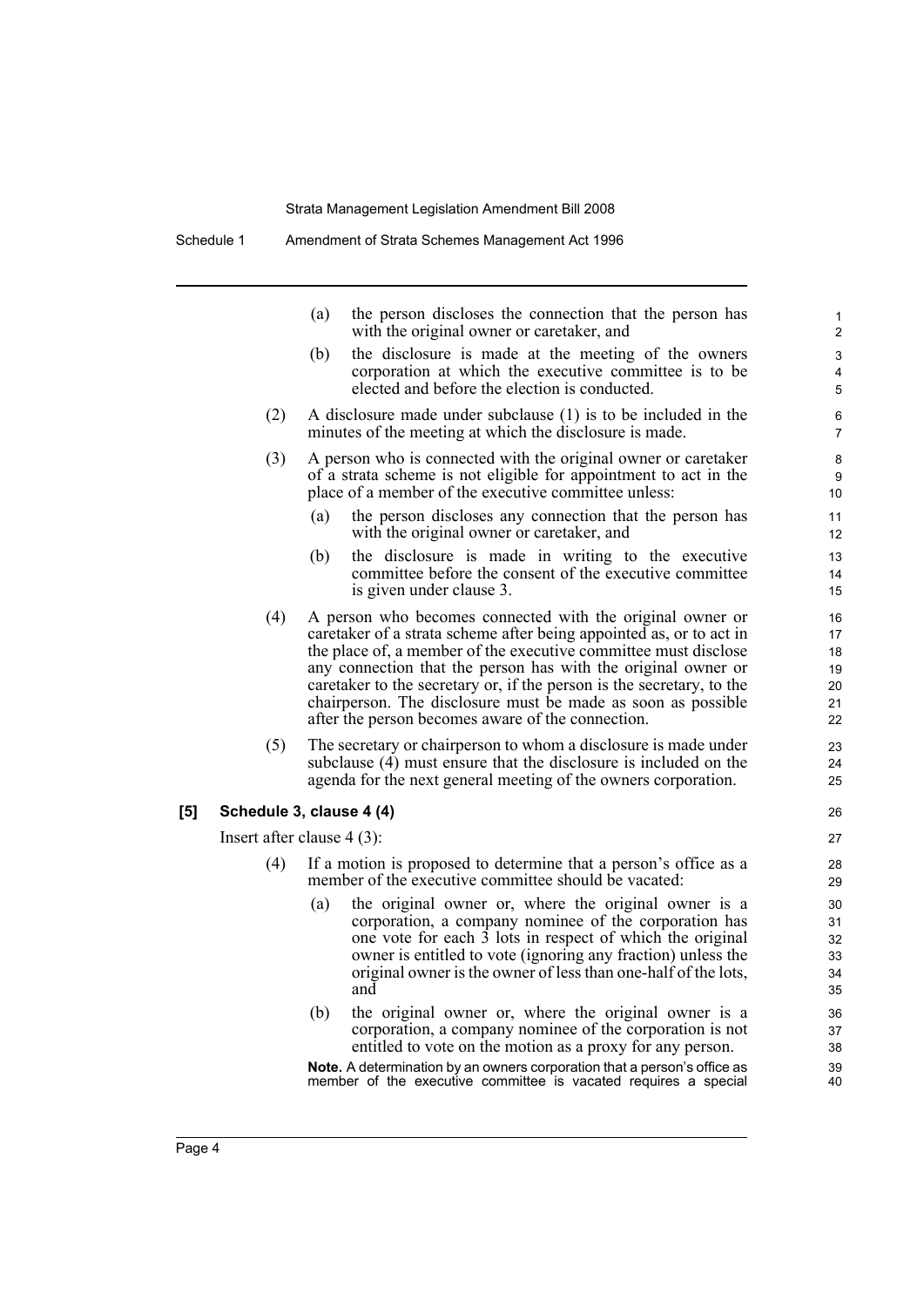Schedule 1 Amendment of Strata Schemes Management Act 1996

| (a) | the person discloses the connection that the person has<br>with the original owner or caretaker, and                                                          |
|-----|---------------------------------------------------------------------------------------------------------------------------------------------------------------|
| (b) | the disclosure is made at the meeting of the owners<br>corporation at which the executive committee is to be<br>elected and before the election is conducted. |
|     |                                                                                                                                                               |

- (2) A disclosure made under subclause (1) is to be included in the minutes of the meeting at which the disclosure is made.
- (3) A person who is connected with the original owner or caretaker of a strata scheme is not eligible for appointment to act in the place of a member of the executive committee unless:
	- (a) the person discloses any connection that the person has with the original owner or caretaker, and
	- (b) the disclosure is made in writing to the executive committee before the consent of the executive committee is given under clause 3.
- (4) A person who becomes connected with the original owner or caretaker of a strata scheme after being appointed as, or to act in the place of, a member of the executive committee must disclose any connection that the person has with the original owner or caretaker to the secretary or, if the person is the secretary, to the chairperson. The disclosure must be made as soon as possible after the person becomes aware of the connection.
- (5) The secretary or chairperson to whom a disclosure is made under subclause (4) must ensure that the disclosure is included on the agenda for the next general meeting of the owners corporation.

#### **[5] Schedule 3, clause 4 (4)**

Insert after clause 4 (3):

- (4) If a motion is proposed to determine that a person's office as a member of the executive committee should be vacated:
	- (a) the original owner or, where the original owner is a corporation, a company nominee of the corporation has one vote for each 3 lots in respect of which the original owner is entitled to vote (ignoring any fraction) unless the original owner is the owner of less than one-half of the lots, and
	- (b) the original owner or, where the original owner is a corporation, a company nominee of the corporation is not entitled to vote on the motion as a proxy for any person.

**Note.** A determination by an owners corporation that a person's office as member of the executive committee is vacated requires a special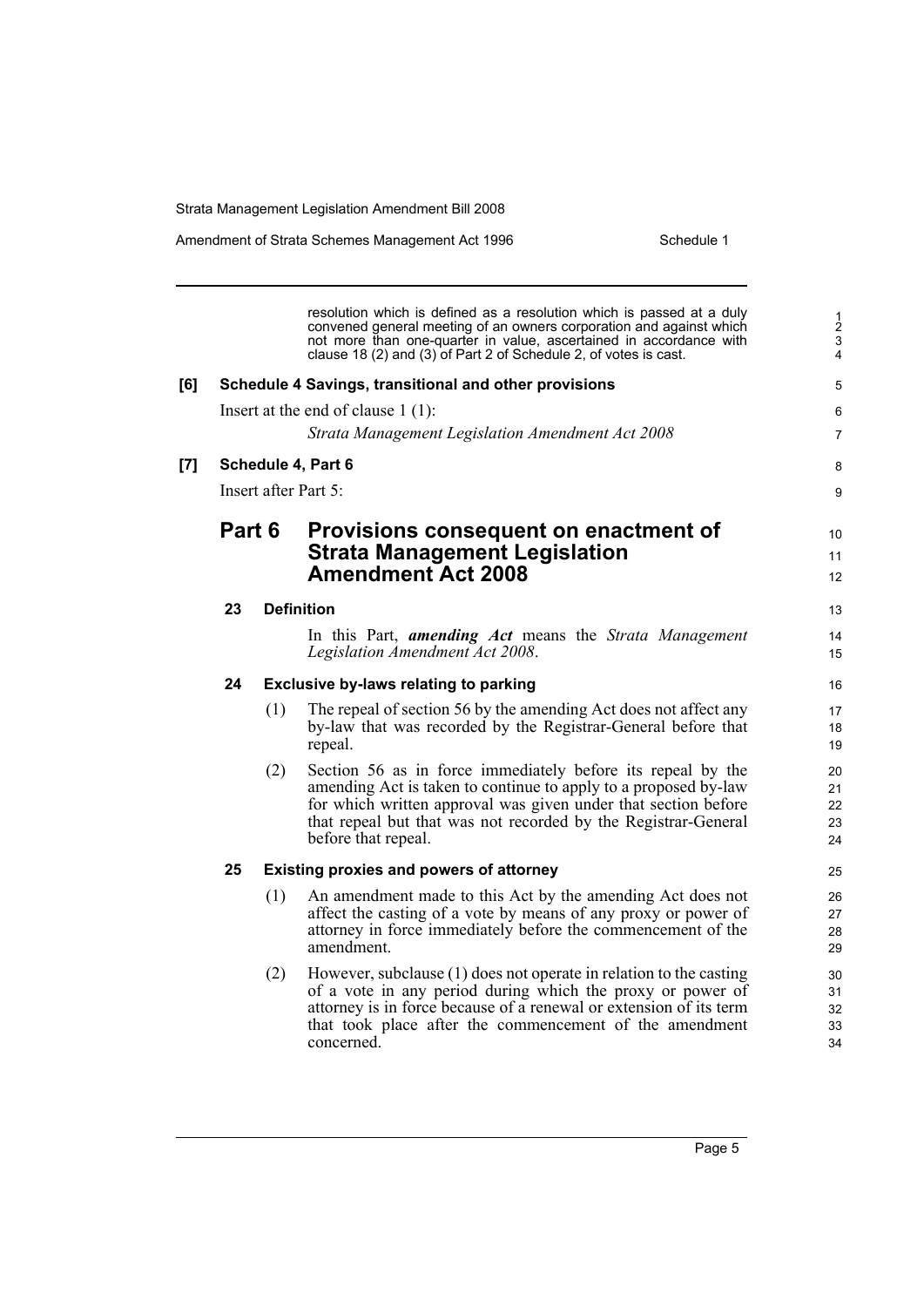Amendment of Strata Schemes Management Act 1996

| Schedule 1 |  |
|------------|--|
|            |  |

|     |                      |     | resolution which is defined as a resolution which is passed at a duly<br>convened general meeting of an owners corporation and against which<br>not more than one-quarter in value, ascertained in accordance with<br>clause 18 (2) and (3) of Part 2 of Schedule 2, of votes is cast.    | $\frac{1}{2}$<br>$\mathbf{3}$<br>4 |
|-----|----------------------|-----|-------------------------------------------------------------------------------------------------------------------------------------------------------------------------------------------------------------------------------------------------------------------------------------------|------------------------------------|
| [6] |                      |     | Schedule 4 Savings, transitional and other provisions                                                                                                                                                                                                                                     | 5                                  |
|     |                      |     | Insert at the end of clause $1(1)$ :                                                                                                                                                                                                                                                      | 6                                  |
|     |                      |     | Strata Management Legislation Amendment Act 2008                                                                                                                                                                                                                                          | $\overline{7}$                     |
| [7] |                      |     | Schedule 4, Part 6                                                                                                                                                                                                                                                                        | 8                                  |
|     | Insert after Part 5: |     |                                                                                                                                                                                                                                                                                           |                                    |
|     | Part 6               |     | Provisions consequent on enactment of<br><b>Strata Management Legislation</b>                                                                                                                                                                                                             | 10<br>11                           |
|     |                      |     | <b>Amendment Act 2008</b>                                                                                                                                                                                                                                                                 | 12                                 |
|     | 23                   |     | <b>Definition</b>                                                                                                                                                                                                                                                                         | 13                                 |
|     |                      |     | In this Part, <i>amending Act</i> means the <i>Strata Management</i><br>Legislation Amendment Act 2008.                                                                                                                                                                                   | 14<br>15                           |
|     | 24                   |     | <b>Exclusive by-laws relating to parking</b>                                                                                                                                                                                                                                              | 16                                 |
|     |                      | (1) | The repeal of section 56 by the amending Act does not affect any<br>by-law that was recorded by the Registrar-General before that<br>repeal.                                                                                                                                              | 17<br>18<br>19                     |
|     |                      | (2) | Section 56 as in force immediately before its repeal by the<br>amending Act is taken to continue to apply to a proposed by-law<br>for which written approval was given under that section before<br>that repeal but that was not recorded by the Registrar-General<br>before that repeal. | 20<br>21<br>22<br>23<br>24         |
|     | 25                   |     | <b>Existing proxies and powers of attorney</b>                                                                                                                                                                                                                                            | 25                                 |
|     |                      | (1) | An amendment made to this Act by the amending Act does not<br>affect the casting of a vote by means of any proxy or power of<br>attorney in force immediately before the commencement of the<br>amendment.                                                                                | 26<br>27<br>28<br>29               |
|     |                      | (2) | However, subclause (1) does not operate in relation to the casting<br>of a vote in any period during which the proxy or power of<br>attorney is in force because of a renewal or extension of its term<br>that took place after the commencement of the amendment<br>concerned.           | 30<br>31<br>32<br>33<br>34         |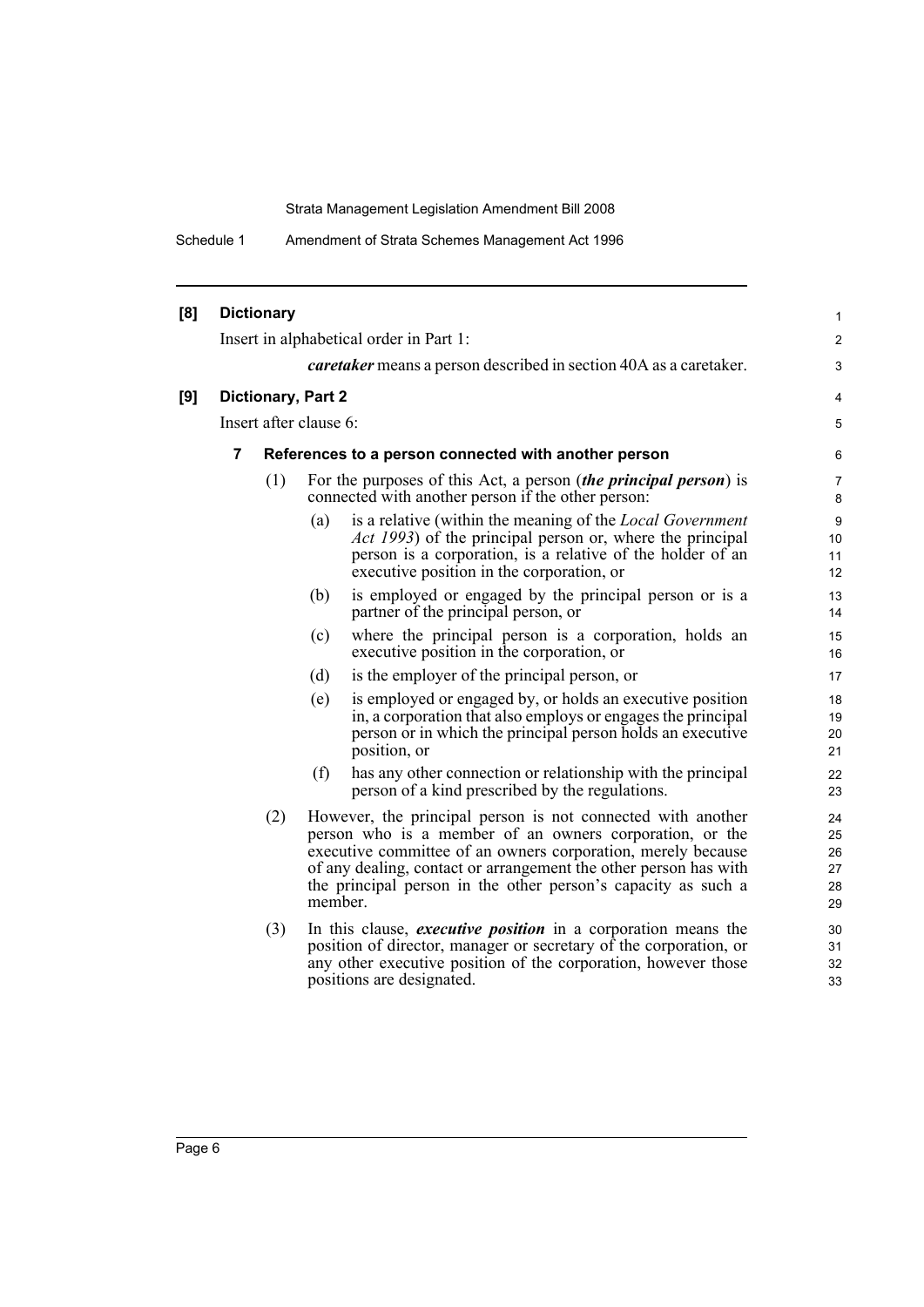Schedule 1 Amendment of Strata Schemes Management Act 1996

| [8] |                        | <b>Dictionary</b>                                    |         |                                                                                                                                                                                                                                                                                                                             | $\mathbf{1}$                       |
|-----|------------------------|------------------------------------------------------|---------|-----------------------------------------------------------------------------------------------------------------------------------------------------------------------------------------------------------------------------------------------------------------------------------------------------------------------------|------------------------------------|
|     |                        |                                                      |         | Insert in alphabetical order in Part 1:                                                                                                                                                                                                                                                                                     | 2                                  |
|     |                        |                                                      |         | <i>caretaker</i> means a person described in section 40A as a caretaker.                                                                                                                                                                                                                                                    | 3                                  |
| [9] | Dictionary, Part 2     |                                                      |         |                                                                                                                                                                                                                                                                                                                             | 4                                  |
|     | Insert after clause 6: |                                                      |         |                                                                                                                                                                                                                                                                                                                             | 5                                  |
|     | 7                      | References to a person connected with another person |         |                                                                                                                                                                                                                                                                                                                             |                                    |
|     |                        | (1)                                                  |         | For the purposes of this Act, a person <i>(the principal person)</i> is<br>connected with another person if the other person:                                                                                                                                                                                               | 7<br>8                             |
|     |                        |                                                      | (a)     | is a relative (within the meaning of the <i>Local Government</i><br><i>Act 1993</i> ) of the principal person or, where the principal<br>person is a corporation, is a relative of the holder of an<br>executive position in the corporation, or                                                                            | $\boldsymbol{9}$<br>10<br>11<br>12 |
|     |                        |                                                      | (b)     | is employed or engaged by the principal person or is a<br>partner of the principal person, or                                                                                                                                                                                                                               | 13<br>14                           |
|     |                        |                                                      | (c)     | where the principal person is a corporation, holds an<br>executive position in the corporation, or                                                                                                                                                                                                                          | 15<br>16                           |
|     |                        |                                                      | (d)     | is the employer of the principal person, or                                                                                                                                                                                                                                                                                 | 17                                 |
|     |                        |                                                      | (e)     | is employed or engaged by, or holds an executive position<br>in, a corporation that also employs or engages the principal<br>person or in which the principal person holds an executive<br>position, or                                                                                                                     | 18<br>19<br>20<br>21               |
|     |                        |                                                      | (f)     | has any other connection or relationship with the principal<br>person of a kind prescribed by the regulations.                                                                                                                                                                                                              | 22<br>23                           |
|     |                        | (2)                                                  | member. | However, the principal person is not connected with another<br>person who is a member of an owners corporation, or the<br>executive committee of an owners corporation, merely because<br>of any dealing, contact or arrangement the other person has with<br>the principal person in the other person's capacity as such a | 24<br>25<br>26<br>27<br>28<br>29   |
|     |                        | (3)                                                  |         | In this clause, <i>executive position</i> in a corporation means the<br>position of director, manager or secretary of the corporation, or<br>any other executive position of the corporation, however those<br>positions are designated.                                                                                    | 30<br>31<br>32<br>33               |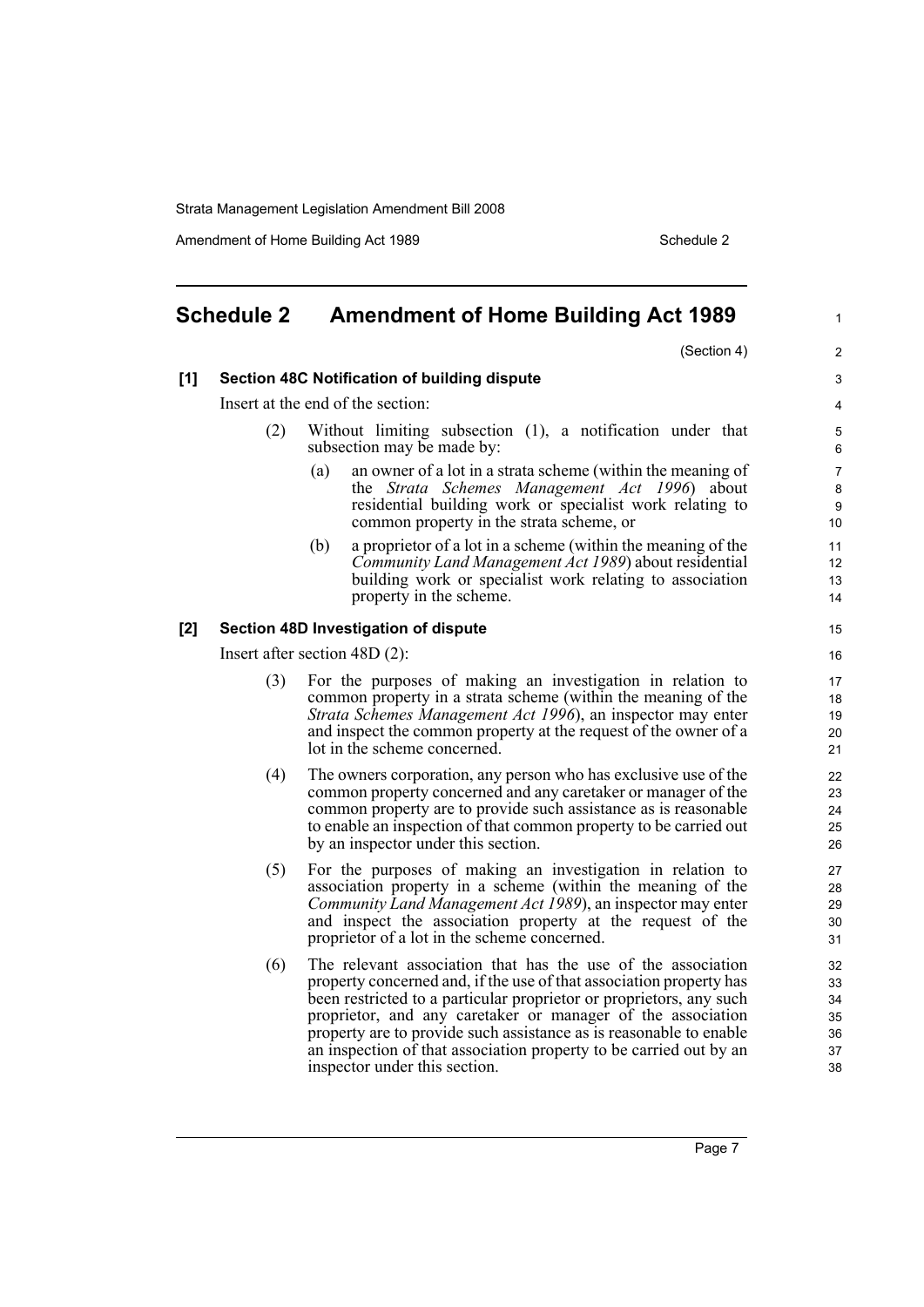Amendment of Home Building Act 1989 Schedule 2

<span id="page-12-0"></span>

| <b>Schedule 2</b> |                                              | <b>Amendment of Home Building Act 1989</b>                                                                                                                                                                                                                                                                                                                                                                                                             |                                        |  |  |
|-------------------|----------------------------------------------|--------------------------------------------------------------------------------------------------------------------------------------------------------------------------------------------------------------------------------------------------------------------------------------------------------------------------------------------------------------------------------------------------------------------------------------------------------|----------------------------------------|--|--|
|                   |                                              | (Section 4)                                                                                                                                                                                                                                                                                                                                                                                                                                            | $\overline{2}$                         |  |  |
| [1]               | Section 48C Notification of building dispute |                                                                                                                                                                                                                                                                                                                                                                                                                                                        |                                        |  |  |
|                   | Insert at the end of the section:            |                                                                                                                                                                                                                                                                                                                                                                                                                                                        |                                        |  |  |
|                   | (2)                                          | Without limiting subsection (1), a notification under that<br>subsection may be made by:                                                                                                                                                                                                                                                                                                                                                               | 5<br>6                                 |  |  |
|                   |                                              | an owner of a lot in a strata scheme (within the meaning of<br>(a)<br>the Strata Schemes Management Act 1996) about<br>residential building work or specialist work relating to<br>common property in the strata scheme, or                                                                                                                                                                                                                            | $\overline{7}$<br>8<br>9<br>10         |  |  |
|                   |                                              | a proprietor of a lot in a scheme (within the meaning of the<br>(b)<br>Community Land Management Act 1989) about residential<br>building work or specialist work relating to association<br>property in the scheme.                                                                                                                                                                                                                                    | 11<br>12<br>13<br>14                   |  |  |
| [2]               |                                              | Section 48D Investigation of dispute                                                                                                                                                                                                                                                                                                                                                                                                                   | 15                                     |  |  |
|                   | Insert after section $48D(2)$ :              |                                                                                                                                                                                                                                                                                                                                                                                                                                                        |                                        |  |  |
|                   | (3)                                          | For the purposes of making an investigation in relation to<br>common property in a strata scheme (within the meaning of the<br>Strata Schemes Management Act 1996), an inspector may enter<br>and inspect the common property at the request of the owner of a<br>lot in the scheme concerned.                                                                                                                                                         |                                        |  |  |
|                   | (4)                                          | The owners corporation, any person who has exclusive use of the<br>common property concerned and any caretaker or manager of the<br>common property are to provide such assistance as is reasonable<br>to enable an inspection of that common property to be carried out<br>by an inspector under this section.                                                                                                                                        | 22<br>23<br>24<br>25<br>26             |  |  |
|                   | (5)                                          | For the purposes of making an investigation in relation to<br>association property in a scheme (within the meaning of the<br>Community Land Management Act 1989), an inspector may enter<br>and inspect the association property at the request of the<br>proprietor of a lot in the scheme concerned.                                                                                                                                                 | 27<br>28<br>29<br>30<br>31             |  |  |
|                   | (6)                                          | The relevant association that has the use of the association<br>property concerned and, if the use of that association property has<br>been restricted to a particular proprietor or proprietors, any such<br>proprietor, and any caretaker or manager of the association<br>property are to provide such assistance as is reasonable to enable<br>an inspection of that association property to be carried out by an<br>inspector under this section. | 32<br>33<br>34<br>35<br>36<br>37<br>38 |  |  |